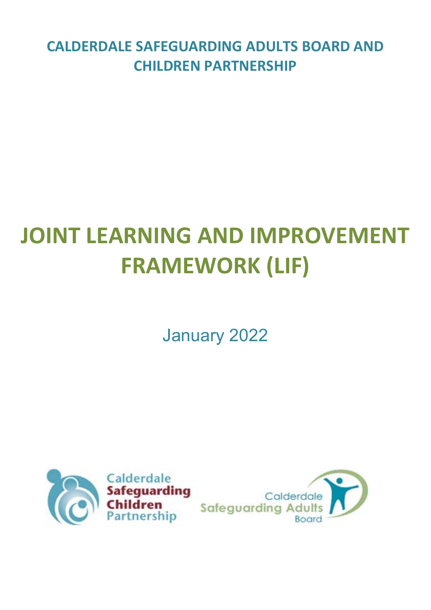**CALDERDALE SAFEGUARDING ADULTS BOARD AND CHILDREN PARTNERSHIP**

# **JOINT LEARNING AND IMPROVEMENT FRAMEWORK (LIF)**

January 2022



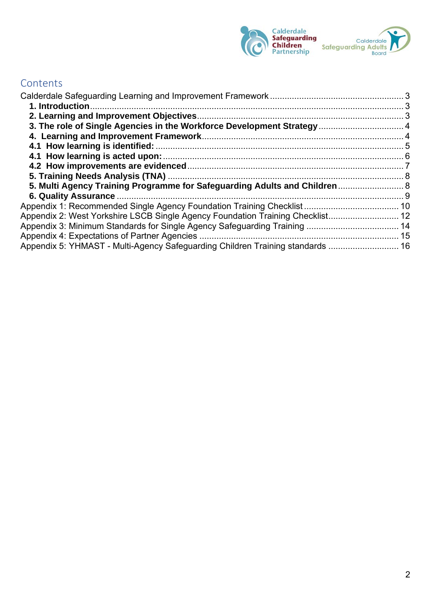

# **Contents**

| 3. The role of Single Agencies in the Workforce Development Strategy 4         |  |
|--------------------------------------------------------------------------------|--|
|                                                                                |  |
|                                                                                |  |
|                                                                                |  |
|                                                                                |  |
|                                                                                |  |
| 5. Multi Agency Training Programme for Safeguarding Adults and Children  8     |  |
|                                                                                |  |
|                                                                                |  |
| Appendix 2: West Yorkshire LSCB Single Agency Foundation Training Checklist 12 |  |
|                                                                                |  |
|                                                                                |  |
| Appendix 5: YHMAST - Multi-Agency Safeguarding Children Training standards  16 |  |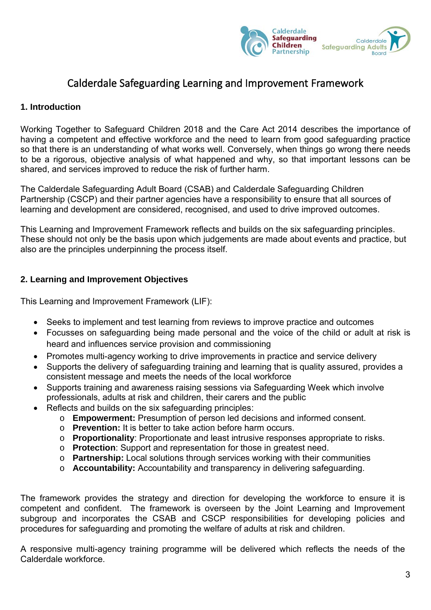

# Calderdale Safeguarding Learning and Improvement Framework

## <span id="page-2-1"></span><span id="page-2-0"></span>**1. Introduction**

Working Together to Safeguard Children 2018 and the Care Act 2014 describes the importance of having a competent and effective workforce and the need to learn from good safeguarding practice so that there is an understanding of what works well. Conversely, when things go wrong there needs to be a rigorous, objective analysis of what happened and why, so that important lessons can be shared, and services improved to reduce the risk of further harm.

The Calderdale Safeguarding Adult Board (CSAB) and Calderdale Safeguarding Children Partnership (CSCP) and their partner agencies have a responsibility to ensure that all sources of learning and development are considered, recognised, and used to drive improved outcomes.

This Learning and Improvement Framework reflects and builds on the six safeguarding principles. These should not only be the basis upon which judgements are made about events and practice, but also are the principles underpinning the process itself.

## <span id="page-2-2"></span>**2. Learning and Improvement Objectives**

This Learning and Improvement Framework (LIF):

- Seeks to implement and test learning from reviews to improve practice and outcomes
- Focusses on safeguarding being made personal and the voice of the child or adult at risk is heard and influences service provision and commissioning
- Promotes multi-agency working to drive improvements in practice and service delivery
- Supports the delivery of safeguarding training and learning that is quality assured, provides a consistent message and meets the needs of the local workforce
- Supports training and awareness raising sessions via Safeguarding Week which involve professionals, adults at risk and children, their carers and the public
- Reflects and builds on the six safeguarding principles:
	- o **Empowerment:** Presumption of person led decisions and informed consent.
	- o **Prevention:** It is better to take action before harm occurs.
	- o **Proportionality**: Proportionate and least intrusive responses appropriate to risks.
	- o **Protection**: Support and representation for those in greatest need.
	- o **Partnership:** Local solutions through services working with their communities
	- o **Accountability:** Accountability and transparency in delivering safeguarding.

The framework provides the strategy and direction for developing the workforce to ensure it is competent and confident.The framework is overseen by the Joint Learning and Improvement subgroup and incorporates the CSAB and CSCP responsibilities for developing policies and procedures for safeguarding and promoting the welfare of adults at risk and children.

A responsive multi-agency training programme will be delivered which reflects the needs of the Calderdale workforce.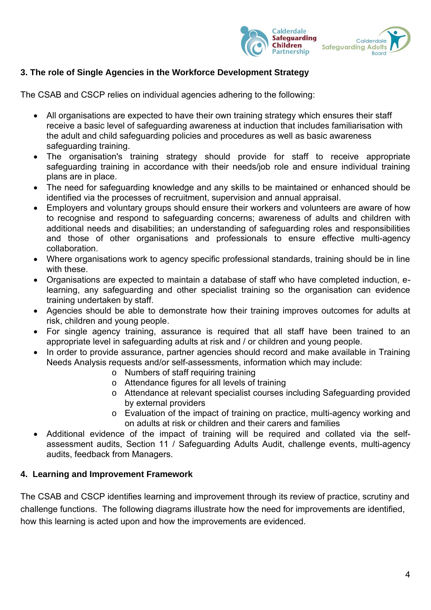

## <span id="page-3-0"></span>**3. The role of Single Agencies in the Workforce Development Strategy**

The CSAB and CSCP relies on individual agencies adhering to the following:

- All organisations are expected to have their own training strategy which ensures their staff receive a basic level of safeguarding awareness at induction that includes familiarisation with the adult and child safeguarding policies and procedures as well as basic awareness safeguarding training.
- The organisation's training strategy should provide for staff to receive appropriate safeguarding training in accordance with their needs/job role and ensure individual training plans are in place.
- The need for safeguarding knowledge and any skills to be maintained or enhanced should be identified via the processes of recruitment, supervision and annual appraisal.
- Employers and voluntary groups should ensure their workers and volunteers are aware of how to recognise and respond to safeguarding concerns; awareness of adults and children with additional needs and disabilities; an understanding of safeguarding roles and responsibilities and those of other organisations and professionals to ensure effective multi-agency collaboration.
- Where organisations work to agency specific professional standards, training should be in line with these.
- Organisations are expected to maintain a database of staff who have completed induction, elearning, any safeguarding and other specialist training so the organisation can evidence training undertaken by staff.
- Agencies should be able to demonstrate how their training improves outcomes for adults at risk, children and young people.
- For single agency training, assurance is required that all staff have been trained to an appropriate level in safeguarding adults at risk and / or children and young people.
- In order to provide assurance, partner agencies should record and make available in Training Needs Analysis requests and/or self-assessments, information which may include:
	- o Numbers of staff requiring training
	- o Attendance figures for all levels of training
	- o Attendance at relevant specialist courses including Safeguarding provided by external providers
	- o Evaluation of the impact of training on practice, multi-agency working and on adults at risk or children and their carers and families
- Additional evidence of the impact of training will be required and collated via the selfassessment audits, Section 11 / Safeguarding Adults Audit, challenge events, multi-agency audits, feedback from Managers.

#### <span id="page-3-1"></span>**4. Learning and Improvement Framework**

The CSAB and CSCP identifies learning and improvement through its review of practice, scrutiny and challenge functions. The following diagrams illustrate how the need for improvements are identified, how this learning is acted upon and how the improvements are evidenced.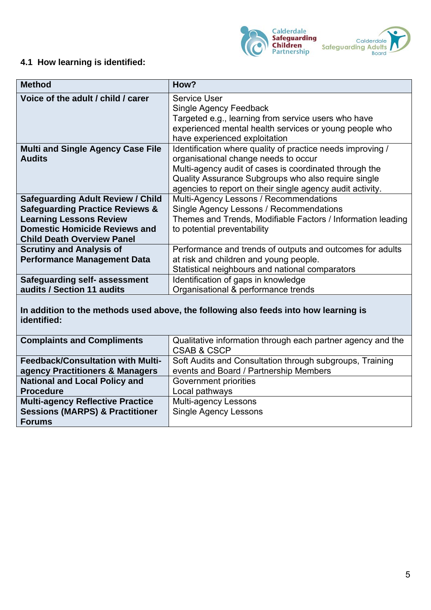

## <span id="page-4-0"></span>**4.1 How learning is identified:**

| <b>Method</b>                              | How?                                                        |
|--------------------------------------------|-------------------------------------------------------------|
| Voice of the adult / child / carer         | <b>Service User</b>                                         |
|                                            | <b>Single Agency Feedback</b>                               |
|                                            | Targeted e.g., learning from service users who have         |
|                                            | experienced mental health services or young people who      |
|                                            | have experienced exploitation                               |
| <b>Multi and Single Agency Case File</b>   | Identification where quality of practice needs improving /  |
| <b>Audits</b>                              | organisational change needs to occur                        |
|                                            | Multi-agency audit of cases is coordinated through the      |
|                                            | Quality Assurance Subgroups who also require single         |
|                                            | agencies to report on their single agency audit activity.   |
| <b>Safeguarding Adult Review / Child</b>   | Multi-Agency Lessons / Recommendations                      |
| <b>Safeguarding Practice Reviews &amp;</b> | Single Agency Lessons / Recommendations                     |
| <b>Learning Lessons Review</b>             | Themes and Trends, Modifiable Factors / Information leading |
| <b>Domestic Homicide Reviews and</b>       | to potential preventability                                 |
| <b>Child Death Overview Panel</b>          |                                                             |
| <b>Scrutiny and Analysis of</b>            | Performance and trends of outputs and outcomes for adults   |
| <b>Performance Management Data</b>         | at risk and children and young people.                      |
|                                            | Statistical neighbours and national comparators             |
| Safeguarding self- assessment              | Identification of gaps in knowledge                         |
| audits / Section 11 audits                 | Organisational & performance trends                         |

**In addition to the methods used above, the following also feeds into how learning is identified:**

| <b>Complaints and Compliments</b>          | Qualitative information through each partner agency and the<br><b>CSAB &amp; CSCP</b> |
|--------------------------------------------|---------------------------------------------------------------------------------------|
| <b>Feedback/Consultation with Multi-</b>   | Soft Audits and Consultation through subgroups, Training                              |
| agency Practitioners & Managers            | events and Board / Partnership Members                                                |
| <b>National and Local Policy and</b>       | Government priorities                                                                 |
| <b>Procedure</b>                           | Local pathways                                                                        |
| <b>Multi-agency Reflective Practice</b>    | <b>Multi-agency Lessons</b>                                                           |
| <b>Sessions (MARPS) &amp; Practitioner</b> | <b>Single Agency Lessons</b>                                                          |
| <b>Forums</b>                              |                                                                                       |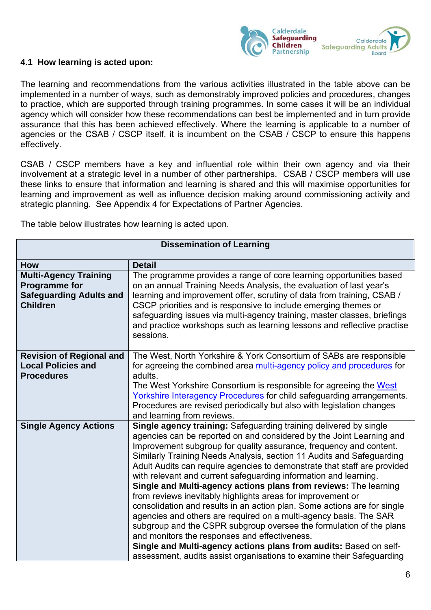

#### <span id="page-5-0"></span>**4.1 How learning is acted upon:**

The learning and recommendations from the various activities illustrated in the table above can be implemented in a number of ways, such as demonstrably improved policies and procedures, changes to practice, which are supported through training programmes. In some cases it will be an individual agency which will consider how these recommendations can best be implemented and in turn provide assurance that this has been achieved effectively. Where the learning is applicable to a number of agencies or the CSAB / CSCP itself, it is incumbent on the CSAB / CSCP to ensure this happens effectively.

CSAB / CSCP members have a key and influential role within their own agency and via their involvement at a strategic level in a number of other partnerships. CSAB / CSCP members will use these links to ensure that information and learning is shared and this will maximise opportunities for learning and improvement as well as influence decision making around commissioning activity and strategic planning. See Appendix 4 for Expectations of Partner Agencies.

The table below illustrates how learning is acted upon.

| <b>Dissemination of Learning</b>                                                                          |                                                                                                                                                                                                                                                                                                                                                                                                                                                                                                                                                                                                                                                                                                                                                                                                                                                                                                                                                                                                    |
|-----------------------------------------------------------------------------------------------------------|----------------------------------------------------------------------------------------------------------------------------------------------------------------------------------------------------------------------------------------------------------------------------------------------------------------------------------------------------------------------------------------------------------------------------------------------------------------------------------------------------------------------------------------------------------------------------------------------------------------------------------------------------------------------------------------------------------------------------------------------------------------------------------------------------------------------------------------------------------------------------------------------------------------------------------------------------------------------------------------------------|
| How                                                                                                       | <b>Detail</b>                                                                                                                                                                                                                                                                                                                                                                                                                                                                                                                                                                                                                                                                                                                                                                                                                                                                                                                                                                                      |
| <b>Multi-Agency Training</b><br><b>Programme for</b><br><b>Safeguarding Adults and</b><br><b>Children</b> | The programme provides a range of core learning opportunities based<br>on an annual Training Needs Analysis, the evaluation of last year's<br>learning and improvement offer, scrutiny of data from training, CSAB /<br>CSCP priorities and is responsive to include emerging themes or<br>safeguarding issues via multi-agency training, master classes, briefings<br>and practice workshops such as learning lessons and reflective practise<br>sessions.                                                                                                                                                                                                                                                                                                                                                                                                                                                                                                                                        |
| <b>Revision of Regional and</b><br><b>Local Policies and</b><br><b>Procedures</b>                         | The West, North Yorkshire & York Consortium of SABs are responsible<br>for agreeing the combined area multi-agency policy and procedures for<br>adults.<br>The West Yorkshire Consortium is responsible for agreeing the West<br><b>Yorkshire Interagency Procedures for child safeguarding arrangements.</b><br>Procedures are revised periodically but also with legislation changes<br>and learning from reviews.                                                                                                                                                                                                                                                                                                                                                                                                                                                                                                                                                                               |
| <b>Single Agency Actions</b>                                                                              | Single agency training: Safeguarding training delivered by single<br>agencies can be reported on and considered by the Joint Learning and<br>Improvement subgroup for quality assurance, frequency and content.<br>Similarly Training Needs Analysis, section 11 Audits and Safeguarding<br>Adult Audits can require agencies to demonstrate that staff are provided<br>with relevant and current safeguarding information and learning.<br>Single and Multi-agency actions plans from reviews: The learning<br>from reviews inevitably highlights areas for improvement or<br>consolidation and results in an action plan. Some actions are for single<br>agencies and others are required on a multi-agency basis. The SAR<br>subgroup and the CSPR subgroup oversee the formulation of the plans<br>and monitors the responses and effectiveness.<br>Single and Multi-agency actions plans from audits: Based on self-<br>assessment, audits assist organisations to examine their Safeguarding |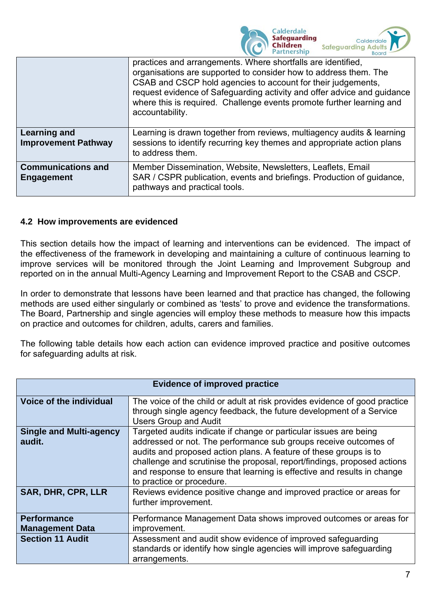

|                                                | practices and arrangements. Where shortfalls are identified,<br>organisations are supported to consider how to address them. The<br>CSAB and CSCP hold agencies to account for their judgements,<br>request evidence of Safeguarding activity and offer advice and guidance<br>where this is required. Challenge events promote further learning and<br>accountability. |
|------------------------------------------------|-------------------------------------------------------------------------------------------------------------------------------------------------------------------------------------------------------------------------------------------------------------------------------------------------------------------------------------------------------------------------|
| Learning and<br><b>Improvement Pathway</b>     | Learning is drawn together from reviews, multiagency audits & learning<br>sessions to identify recurring key themes and appropriate action plans<br>to address them.                                                                                                                                                                                                    |
| <b>Communications and</b><br><b>Engagement</b> | Member Dissemination, Website, Newsletters, Leaflets, Email<br>SAR / CSPR publication, events and briefings. Production of guidance,<br>pathways and practical tools.                                                                                                                                                                                                   |

#### <span id="page-6-0"></span>**4.2 How improvements are evidenced**

This section details how the impact of learning and interventions can be evidenced. The impact of the effectiveness of the framework in developing and maintaining a culture of continuous learning to improve services will be monitored through the Joint Learning and Improvement Subgroup and reported on in the annual Multi-Agency Learning and Improvement Report to the CSAB and CSCP.

In order to demonstrate that lessons have been learned and that practice has changed, the following methods are used either singularly or combined as 'tests' to prove and evidence the transformations. The Board, Partnership and single agencies will employ these methods to measure how this impacts on practice and outcomes for children, adults, carers and families.

The following table details how each action can evidence improved practice and positive outcomes for safeguarding adults at risk.

| <b>Evidence of improved practice</b>         |                                                                                                                                                                                                                                                                                                                                                                                                |
|----------------------------------------------|------------------------------------------------------------------------------------------------------------------------------------------------------------------------------------------------------------------------------------------------------------------------------------------------------------------------------------------------------------------------------------------------|
| Voice of the individual                      | The voice of the child or adult at risk provides evidence of good practice<br>through single agency feedback, the future development of a Service<br><b>Users Group and Audit</b>                                                                                                                                                                                                              |
| <b>Single and Multi-agency</b><br>audit.     | Targeted audits indicate if change or particular issues are being<br>addressed or not. The performance sub groups receive outcomes of<br>audits and proposed action plans. A feature of these groups is to<br>challenge and scrutinise the proposal, report/findings, proposed actions<br>and response to ensure that learning is effective and results in change<br>to practice or procedure. |
| <b>SAR, DHR, CPR, LLR</b>                    | Reviews evidence positive change and improved practice or areas for<br>further improvement.                                                                                                                                                                                                                                                                                                    |
| <b>Performance</b><br><b>Management Data</b> | Performance Management Data shows improved outcomes or areas for<br>improvement.                                                                                                                                                                                                                                                                                                               |
| <b>Section 11 Audit</b>                      | Assessment and audit show evidence of improved safeguarding<br>standards or identify how single agencies will improve safeguarding<br>arrangements.                                                                                                                                                                                                                                            |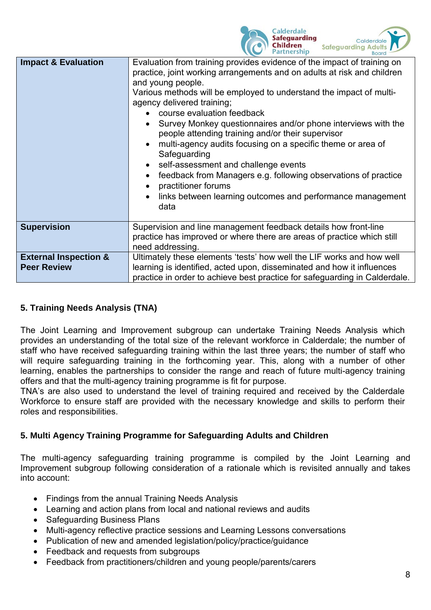

| <b>Impact &amp; Evaluation</b>                         | Evaluation from training provides evidence of the impact of training on<br>practice, joint working arrangements and on adults at risk and children<br>and young people.<br>Various methods will be employed to understand the impact of multi-<br>agency delivered training;<br>course evaluation feedback<br>Survey Monkey questionnaires and/or phone interviews with the<br>people attending training and/or their supervisor<br>multi-agency audits focusing on a specific theme or area of<br>Safeguarding<br>self-assessment and challenge events<br>feedback from Managers e.g. following observations of practice<br>practitioner forums<br>links between learning outcomes and performance management<br>data |
|--------------------------------------------------------|------------------------------------------------------------------------------------------------------------------------------------------------------------------------------------------------------------------------------------------------------------------------------------------------------------------------------------------------------------------------------------------------------------------------------------------------------------------------------------------------------------------------------------------------------------------------------------------------------------------------------------------------------------------------------------------------------------------------|
| <b>Supervision</b>                                     | Supervision and line management feedback details how front-line<br>practice has improved or where there are areas of practice which still<br>need addressing.                                                                                                                                                                                                                                                                                                                                                                                                                                                                                                                                                          |
| <b>External Inspection &amp;</b><br><b>Peer Review</b> | Ultimately these elements 'tests' how well the LIF works and how well<br>learning is identified, acted upon, disseminated and how it influences<br>practice in order to achieve best practice for safeguarding in Calderdale.                                                                                                                                                                                                                                                                                                                                                                                                                                                                                          |

## <span id="page-7-0"></span>**5. Training Needs Analysis (TNA)**

The Joint Learning and Improvement subgroup can undertake Training Needs Analysis which provides an understanding of the total size of the relevant workforce in Calderdale; the number of staff who have received safeguarding training within the last three years; the number of staff who will require safeguarding training in the forthcoming year. This, along with a number of other learning, enables the partnerships to consider the range and reach of future multi-agency training offers and that the multi-agency training programme is fit for purpose.

TNA's are also used to understand the level of training required and received by the Calderdale Workforce to ensure staff are provided with the necessary knowledge and skills to perform their roles and responsibilities.

## <span id="page-7-1"></span>**5. Multi Agency Training Programme for Safeguarding Adults and Children**

The multi-agency safeguarding training programme is compiled by the Joint Learning and Improvement subgroup following consideration of a rationale which is revisited annually and takes into account:

- Findings from the annual Training Needs Analysis
- Learning and action plans from local and national reviews and audits
- Safeguarding Business Plans
- Multi-agency reflective practice sessions and Learning Lessons conversations
- Publication of new and amended legislation/policy/practice/guidance
- Feedback and requests from subgroups
- Feedback from practitioners/children and young people/parents/carers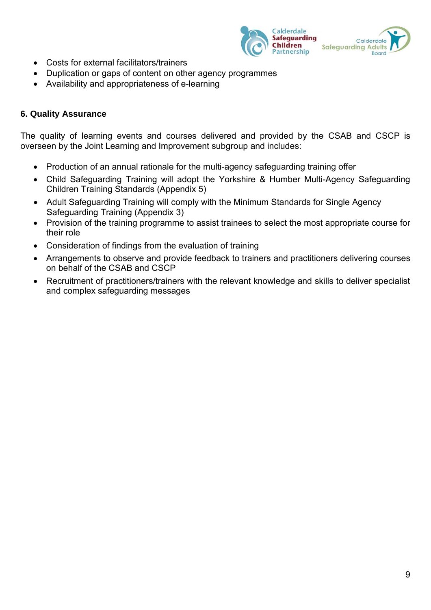

- Costs for external facilitators/trainers
- Duplication or gaps of content on other agency programmes
- Availability and appropriateness of e-learning

#### <span id="page-8-0"></span>**6. Quality Assurance**

The quality of learning events and courses delivered and provided by the CSAB and CSCP is overseen by the Joint Learning and Improvement subgroup and includes:

- Production of an annual rationale for the multi-agency safeguarding training offer
- Child Safeguarding Training will adopt the Yorkshire & Humber Multi-Agency Safeguarding Children Training Standards (Appendix 5)
- Adult Safeguarding Training will comply with the Minimum Standards for Single Agency Safeguarding Training (Appendix 3)
- Provision of the training programme to assist trainees to select the most appropriate course for their role
- Consideration of findings from the evaluation of training
- Arrangements to observe and provide feedback to trainers and practitioners delivering courses on behalf of the CSAB and CSCP
- Recruitment of practitioners/trainers with the relevant knowledge and skills to deliver specialist and complex safeguarding messages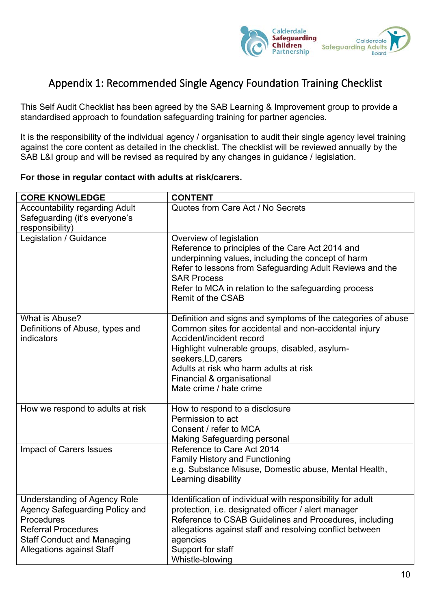

# <span id="page-9-0"></span>Appendix 1: Recommended Single Agency Foundation Training Checklist

This Self Audit Checklist has been agreed by the SAB Learning & Improvement group to provide a standardised approach to foundation safeguarding training for partner agencies.

It is the responsibility of the individual agency / organisation to audit their single agency level training against the core content as detailed in the checklist. The checklist will be reviewed annually by the SAB L&I group and will be revised as required by any changes in guidance / legislation.

#### **For those in regular contact with adults at risk/carers.**

| <b>CORE KNOWLEDGE</b>                                                                                                                                                                             | <b>CONTENT</b>                                                                                                                                                                                                                                                                                                                |
|---------------------------------------------------------------------------------------------------------------------------------------------------------------------------------------------------|-------------------------------------------------------------------------------------------------------------------------------------------------------------------------------------------------------------------------------------------------------------------------------------------------------------------------------|
| <b>Accountability regarding Adult</b><br>Safeguarding (it's everyone's<br>responsibility)                                                                                                         | Quotes from Care Act / No Secrets                                                                                                                                                                                                                                                                                             |
| Legislation / Guidance                                                                                                                                                                            | Overview of legislation<br>Reference to principles of the Care Act 2014 and<br>underpinning values, including the concept of harm<br>Refer to lessons from Safeguarding Adult Reviews and the<br><b>SAR Process</b><br>Refer to MCA in relation to the safeguarding process<br><b>Remit of the CSAB</b>                       |
| What is Abuse?<br>Definitions of Abuse, types and<br>indicators                                                                                                                                   | Definition and signs and symptoms of the categories of abuse<br>Common sites for accidental and non-accidental injury<br>Accident/incident record<br>Highlight vulnerable groups, disabled, asylum-<br>seekers, LD, carers<br>Adults at risk who harm adults at risk<br>Financial & organisational<br>Mate crime / hate crime |
| How we respond to adults at risk                                                                                                                                                                  | How to respond to a disclosure<br>Permission to act<br>Consent / refer to MCA<br><b>Making Safeguarding personal</b>                                                                                                                                                                                                          |
| <b>Impact of Carers Issues</b>                                                                                                                                                                    | Reference to Care Act 2014<br><b>Family History and Functioning</b><br>e.g. Substance Misuse, Domestic abuse, Mental Health,<br>Learning disability                                                                                                                                                                           |
| <b>Understanding of Agency Role</b><br><b>Agency Safeguarding Policy and</b><br>Procedures<br><b>Referral Procedures</b><br><b>Staff Conduct and Managing</b><br><b>Allegations against Staff</b> | Identification of individual with responsibility for adult<br>protection, i.e. designated officer / alert manager<br>Reference to CSAB Guidelines and Procedures, including<br>allegations against staff and resolving conflict between<br>agencies<br>Support for staff<br>Whistle-blowing                                   |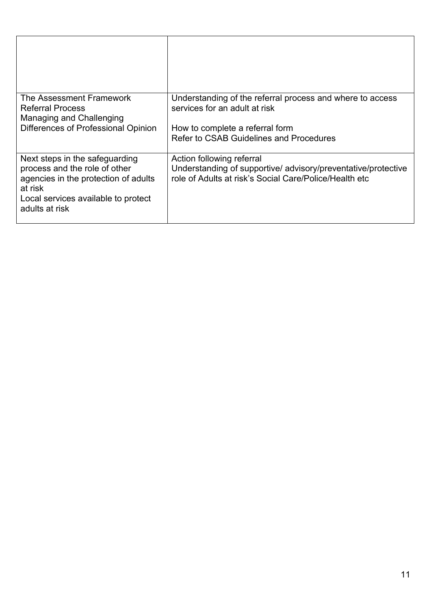| The Assessment Framework<br><b>Referral Process</b><br>Managing and Challenging<br>Differences of Professional Opinion                                                      | Understanding of the referral process and where to access<br>services for an adult at risk<br>How to complete a referral form<br>Refer to CSAB Guidelines and Procedures |
|-----------------------------------------------------------------------------------------------------------------------------------------------------------------------------|--------------------------------------------------------------------------------------------------------------------------------------------------------------------------|
| Next steps in the safeguarding<br>process and the role of other<br>agencies in the protection of adults<br>at risk<br>Local services available to protect<br>adults at risk | Action following referral<br>Understanding of supportive/ advisory/preventative/protective<br>role of Adults at risk's Social Care/Police/Health etc                     |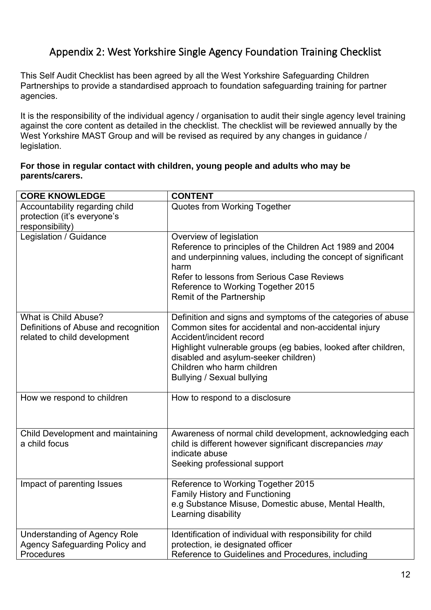# <span id="page-11-0"></span>Appendix 2: West Yorkshire Single Agency Foundation Training Checklist

This Self Audit Checklist has been agreed by all the West Yorkshire Safeguarding Children Partnerships to provide a standardised approach to foundation safeguarding training for partner agencies.

It is the responsibility of the individual agency / organisation to audit their single agency level training against the core content as detailed in the checklist. The checklist will be reviewed annually by the West Yorkshire MAST Group and will be revised as required by any changes in guidance / legislation.

#### **For those in regular contact with children, young people and adults who may be parents/carers.**

| <b>CORE KNOWLEDGE</b>                                                                        | <b>CONTENT</b>                                                                                                                                                                                                                                                                                                                 |
|----------------------------------------------------------------------------------------------|--------------------------------------------------------------------------------------------------------------------------------------------------------------------------------------------------------------------------------------------------------------------------------------------------------------------------------|
| Accountability regarding child<br>protection (it's everyone's<br>responsibility)             | Quotes from Working Together                                                                                                                                                                                                                                                                                                   |
| Legislation / Guidance                                                                       | Overview of legislation<br>Reference to principles of the Children Act 1989 and 2004<br>and underpinning values, including the concept of significant<br>harm<br>Refer to lessons from Serious Case Reviews<br>Reference to Working Together 2015<br><b>Remit of the Partnership</b>                                           |
| What is Child Abuse?<br>Definitions of Abuse and recognition<br>related to child development | Definition and signs and symptoms of the categories of abuse<br>Common sites for accidental and non-accidental injury<br>Accident/incident record<br>Highlight vulnerable groups (eg babies, looked after children,<br>disabled and asylum-seeker children)<br>Children who harm children<br><b>Bullying / Sexual bullying</b> |
| How we respond to children                                                                   | How to respond to a disclosure                                                                                                                                                                                                                                                                                                 |
| Child Development and maintaining<br>a child focus                                           | Awareness of normal child development, acknowledging each<br>child is different however significant discrepancies may<br>indicate abuse<br>Seeking professional support                                                                                                                                                        |
| Impact of parenting Issues                                                                   | Reference to Working Together 2015<br><b>Family History and Functioning</b><br>e.g Substance Misuse, Domestic abuse, Mental Health,<br>Learning disability                                                                                                                                                                     |
| <b>Understanding of Agency Role</b><br><b>Agency Safeguarding Policy and</b><br>Procedures   | Identification of individual with responsibility for child<br>protection, ie designated officer<br>Reference to Guidelines and Procedures, including                                                                                                                                                                           |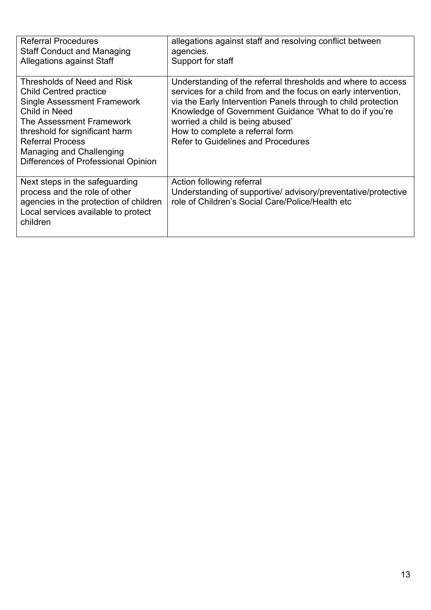| <b>Referral Procedures</b><br><b>Staff Conduct and Managing</b><br><b>Allegations against Staff</b>                                                                                                                                                                             | allegations against staff and resolving conflict between<br>agencies.<br>Support for staff                                                                                                                                                                                                                                                                                    |
|---------------------------------------------------------------------------------------------------------------------------------------------------------------------------------------------------------------------------------------------------------------------------------|-------------------------------------------------------------------------------------------------------------------------------------------------------------------------------------------------------------------------------------------------------------------------------------------------------------------------------------------------------------------------------|
| Thresholds of Need and Risk<br><b>Child Centred practice</b><br><b>Single Assessment Framework</b><br>Child in Need<br>The Assessment Framework<br>threshold for significant harm<br><b>Referral Process</b><br>Managing and Challenging<br>Differences of Professional Opinion | Understanding of the referral thresholds and where to access<br>services for a child from and the focus on early intervention,<br>via the Early Intervention Panels through to child protection<br>Knowledge of Government Guidance 'What to do if you're<br>worried a child is being abused'<br>How to complete a referral form<br><b>Refer to Guidelines and Procedures</b> |
| Next steps in the safeguarding<br>process and the role of other<br>agencies in the protection of children<br>Local services available to protect<br>children                                                                                                                    | Action following referral<br>Understanding of supportive/ advisory/preventative/protective<br>role of Children's Social Care/Police/Health etc                                                                                                                                                                                                                                |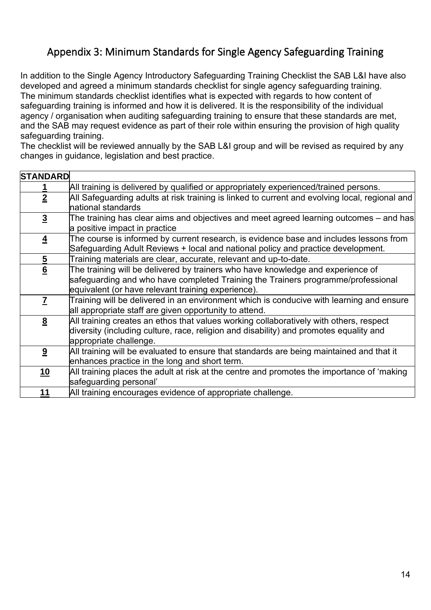# <span id="page-13-0"></span>Appendix 3: Minimum Standards for Single Agency Safeguarding Training

In addition to the Single Agency Introductory Safeguarding Training Checklist the SAB L&I have also developed and agreed a minimum standards checklist for single agency safeguarding training. The minimum standards checklist identifies what is expected with regards to how content of safeguarding training is informed and how it is delivered. It is the responsibility of the individual agency / organisation when auditing safeguarding training to ensure that these standards are met, and the SAB may request evidence as part of their role within ensuring the provision of high quality safeguarding training.

The checklist will be reviewed annually by the SAB L&I group and will be revised as required by any changes in guidance, legislation and best practice.

| <b>STANDARD</b>                                                                                |
|------------------------------------------------------------------------------------------------|
| All training is delivered by qualified or appropriately experienced/trained persons.           |
| All Safeguarding adults at risk training is linked to current and evolving local, regional and |
| national standards                                                                             |
| The training has clear aims and objectives and meet agreed learning outcomes – and has         |
| a positive impact in practice                                                                  |
| The course is informed by current research, is evidence base and includes lessons from         |
| Safeguarding Adult Reviews + local and national policy and practice development.               |
| Training materials are clear, accurate, relevant and up-to-date.                               |
| The training will be delivered by trainers who have knowledge and experience of                |
| safeguarding and who have completed Training the Trainers programme/professional               |
| equivalent (or have relevant training experience).                                             |
| Training will be delivered in an environment which is conducive with learning and ensure       |
| all appropriate staff are given opportunity to attend.                                         |
| All training creates an ethos that values working collaboratively with others, respect         |
| diversity (including culture, race, religion and disability) and promotes equality and         |
| appropriate challenge.                                                                         |
| All training will be evaluated to ensure that standards are being maintained and that it       |
| enhances practice in the long and short term.                                                  |
| All training places the adult at risk at the centre and promotes the importance of 'making     |
| safeguarding personal'                                                                         |
| All training encourages evidence of appropriate challenge.                                     |
|                                                                                                |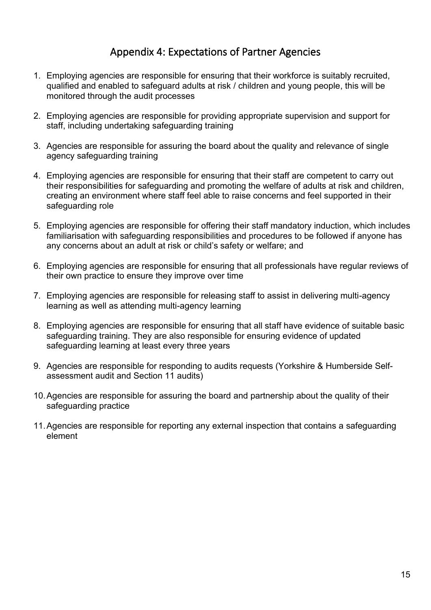# Appendix 4: Expectations of Partner Agencies

- <span id="page-14-0"></span>1. Employing agencies are responsible for ensuring that their workforce is suitably recruited, qualified and enabled to safeguard adults at risk / children and young people, this will be monitored through the audit processes
- 2. Employing agencies are responsible for providing appropriate supervision and support for staff, including undertaking safeguarding training
- 3. Agencies are responsible for assuring the board about the quality and relevance of single agency safeguarding training
- 4. Employing agencies are responsible for ensuring that their staff are competent to carry out their responsibilities for safeguarding and promoting the welfare of adults at risk and children, creating an environment where staff feel able to raise concerns and feel supported in their safeguarding role
- 5. Employing agencies are responsible for offering their staff mandatory induction, which includes familiarisation with safeguarding responsibilities and procedures to be followed if anyone has any concerns about an adult at risk or child's safety or welfare; and
- 6. Employing agencies are responsible for ensuring that all professionals have regular reviews of their own practice to ensure they improve over time
- 7. Employing agencies are responsible for releasing staff to assist in delivering multi-agency learning as well as attending multi-agency learning
- 8. Employing agencies are responsible for ensuring that all staff have evidence of suitable basic safeguarding training. They are also responsible for ensuring evidence of updated safeguarding learning at least every three years
- 9. Agencies are responsible for responding to audits requests (Yorkshire & Humberside Selfassessment audit and Section 11 audits)
- 10.Agencies are responsible for assuring the board and partnership about the quality of their safeguarding practice
- 11.Agencies are responsible for reporting any external inspection that contains a safeguarding element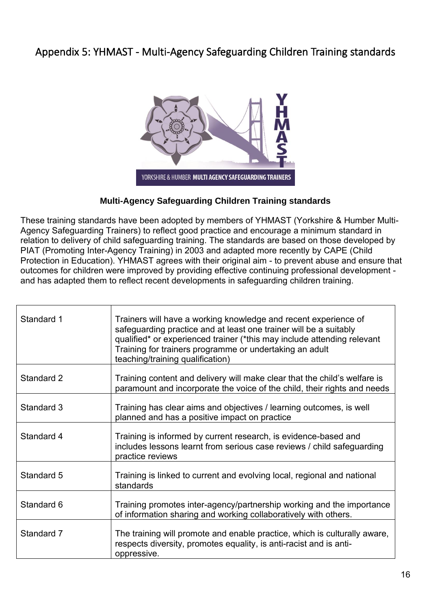# <span id="page-15-0"></span>Appendix 5: YHMAST - Multi-Agency Safeguarding Children Training standards



## **Multi-Agency Safeguarding Children Training standards**

These training standards have been adopted by members of YHMAST (Yorkshire & Humber Multi-Agency Safeguarding Trainers) to reflect good practice and encourage a minimum standard in relation to delivery of child safeguarding training. The standards are based on those developed by PIAT (Promoting Inter-Agency Training) in 2003 and adapted more recently by CAPE (Child Protection in Education). YHMAST agrees with their original aim - to prevent abuse and ensure that outcomes for children were improved by providing effective continuing professional development and has adapted them to reflect recent developments in safeguarding children training.

| Standard 1 | Trainers will have a working knowledge and recent experience of<br>safeguarding practice and at least one trainer will be a suitably<br>qualified* or experienced trainer (*this may include attending relevant<br>Training for trainers programme or undertaking an adult<br>teaching/training qualification) |
|------------|----------------------------------------------------------------------------------------------------------------------------------------------------------------------------------------------------------------------------------------------------------------------------------------------------------------|
| Standard 2 | Training content and delivery will make clear that the child's welfare is<br>paramount and incorporate the voice of the child, their rights and needs                                                                                                                                                          |
| Standard 3 | Training has clear aims and objectives / learning outcomes, is well<br>planned and has a positive impact on practice                                                                                                                                                                                           |
| Standard 4 | Training is informed by current research, is evidence-based and<br>includes lessons learnt from serious case reviews / child safeguarding<br>practice reviews                                                                                                                                                  |
| Standard 5 | Training is linked to current and evolving local, regional and national<br>standards                                                                                                                                                                                                                           |
| Standard 6 | Training promotes inter-agency/partnership working and the importance<br>of information sharing and working collaboratively with others.                                                                                                                                                                       |
| Standard 7 | The training will promote and enable practice, which is culturally aware,<br>respects diversity, promotes equality, is anti-racist and is anti-<br>oppressive.                                                                                                                                                 |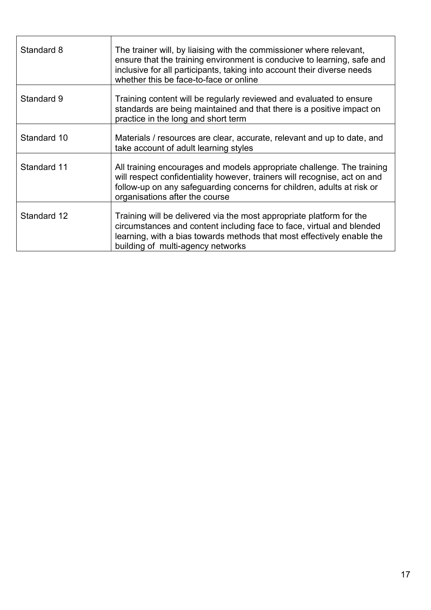| Standard 8  | The trainer will, by liaising with the commissioner where relevant,<br>ensure that the training environment is conducive to learning, safe and<br>inclusive for all participants, taking into account their diverse needs<br>whether this be face-to-face or online |
|-------------|---------------------------------------------------------------------------------------------------------------------------------------------------------------------------------------------------------------------------------------------------------------------|
| Standard 9  | Training content will be regularly reviewed and evaluated to ensure<br>standards are being maintained and that there is a positive impact on<br>practice in the long and short term                                                                                 |
| Standard 10 | Materials / resources are clear, accurate, relevant and up to date, and<br>take account of adult learning styles                                                                                                                                                    |
| Standard 11 | All training encourages and models appropriate challenge. The training<br>will respect confidentiality however, trainers will recognise, act on and<br>follow-up on any safeguarding concerns for children, adults at risk or<br>organisations after the course     |
| Standard 12 | Training will be delivered via the most appropriate platform for the<br>circumstances and content including face to face, virtual and blended<br>learning, with a bias towards methods that most effectively enable the<br>building of multi-agency networks        |